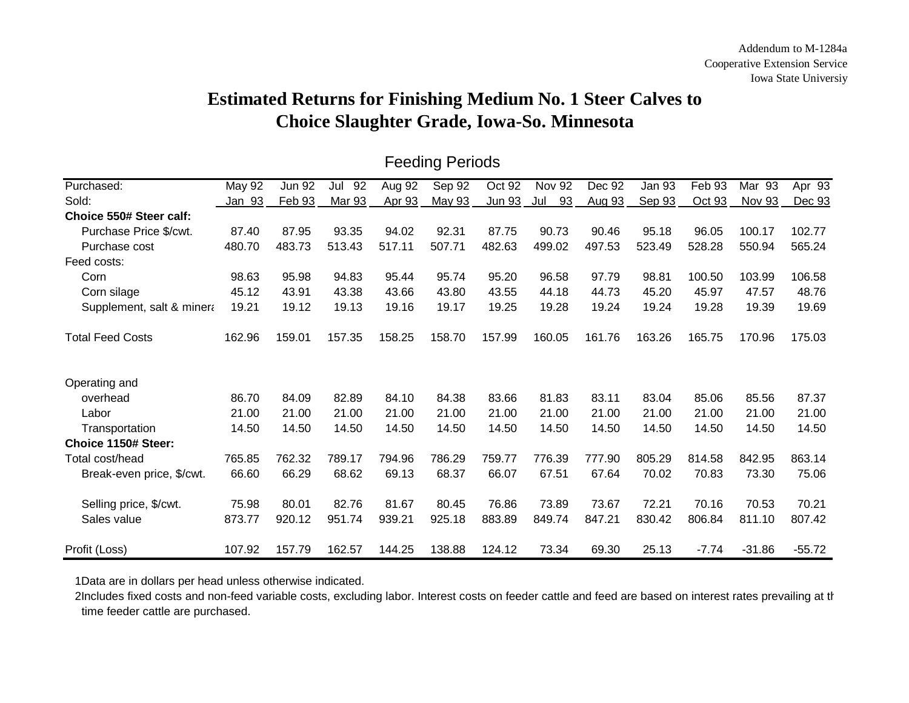## **Estimated Returns for Finishing Medium No. 1 Steer Calves to Choice Slaughter Grade, Iowa-So. Minnesota**

| Purchased:                | May 92        | <b>Jun 92</b> | 92<br>Jul | Aug 92 | Sep 92 | Oct 92 | <b>Nov 92</b> | Dec 92 | <b>Jan 93</b> | Feb 93  | Mar 93   | Apr $93$ |
|---------------------------|---------------|---------------|-----------|--------|--------|--------|---------------|--------|---------------|---------|----------|----------|
| Sold:                     | <u>Jan 93</u> | Feb 93        | Mar 93    | Apr 93 | May 93 | Jun 93 | 93<br>Jul     | Aug 93 | Sep 93        | Oct 93  | Nov 93   | Dec 93   |
| Choice 550# Steer calf:   |               |               |           |        |        |        |               |        |               |         |          |          |
| Purchase Price \$/cwt.    | 87.40         | 87.95         | 93.35     | 94.02  | 92.31  | 87.75  | 90.73         | 90.46  | 95.18         | 96.05   | 100.17   | 102.77   |
| Purchase cost             | 480.70        | 483.73        | 513.43    | 517.11 | 507.71 | 482.63 | 499.02        | 497.53 | 523.49        | 528.28  | 550.94   | 565.24   |
| Feed costs:               |               |               |           |        |        |        |               |        |               |         |          |          |
| Corn                      | 98.63         | 95.98         | 94.83     | 95.44  | 95.74  | 95.20  | 96.58         | 97.79  | 98.81         | 100.50  | 103.99   | 106.58   |
| Corn silage               | 45.12         | 43.91         | 43.38     | 43.66  | 43.80  | 43.55  | 44.18         | 44.73  | 45.20         | 45.97   | 47.57    | 48.76    |
| Supplement, salt & minera | 19.21         | 19.12         | 19.13     | 19.16  | 19.17  | 19.25  | 19.28         | 19.24  | 19.24         | 19.28   | 19.39    | 19.69    |
| <b>Total Feed Costs</b>   | 162.96        | 159.01        | 157.35    | 158.25 | 158.70 | 157.99 | 160.05        | 161.76 | 163.26        | 165.75  | 170.96   | 175.03   |
| Operating and             |               |               |           |        |        |        |               |        |               |         |          |          |
| overhead                  | 86.70         | 84.09         | 82.89     | 84.10  | 84.38  | 83.66  | 81.83         | 83.11  | 83.04         | 85.06   | 85.56    | 87.37    |
| Labor                     | 21.00         | 21.00         | 21.00     | 21.00  | 21.00  | 21.00  | 21.00         | 21.00  | 21.00         | 21.00   | 21.00    | 21.00    |
| Transportation            | 14.50         | 14.50         | 14.50     | 14.50  | 14.50  | 14.50  | 14.50         | 14.50  | 14.50         | 14.50   | 14.50    | 14.50    |
| Choice 1150# Steer:       |               |               |           |        |        |        |               |        |               |         |          |          |
| Total cost/head           | 765.85        | 762.32        | 789.17    | 794.96 | 786.29 | 759.77 | 776.39        | 777.90 | 805.29        | 814.58  | 842.95   | 863.14   |
| Break-even price, \$/cwt. | 66.60         | 66.29         | 68.62     | 69.13  | 68.37  | 66.07  | 67.51         | 67.64  | 70.02         | 70.83   | 73.30    | 75.06    |
| Selling price, \$/cwt.    | 75.98         | 80.01         | 82.76     | 81.67  | 80.45  | 76.86  | 73.89         | 73.67  | 72.21         | 70.16   | 70.53    | 70.21    |
| Sales value               | 873.77        | 920.12        | 951.74    | 939.21 | 925.18 | 883.89 | 849.74        | 847.21 | 830.42        | 806.84  | 811.10   | 807.42   |
| Profit (Loss)             | 107.92        | 157.79        | 162.57    | 144.25 | 138.88 | 124.12 | 73.34         | 69.30  | 25.13         | $-7.74$ | $-31.86$ | $-55.72$ |

## Feeding Periods

1Data are in dollars per head unless otherwise indicated.

2Includes fixed costs and non-feed variable costs, excluding labor. Interest costs on feeder cattle and feed are based on interest rates prevailing at th time feeder cattle are purchased.